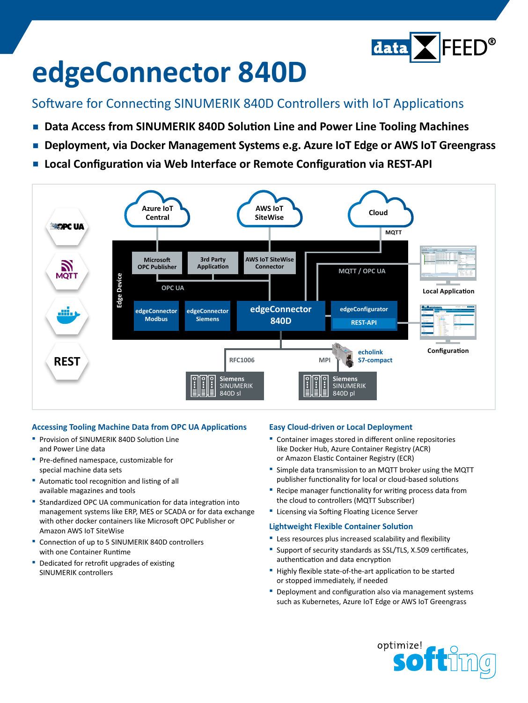

# **edgeConnector 840D**

### Software for Connecting SINUMERIK 840D Controllers with IoT Applications

- **▪  Data Access from SINUMERIK 840D Solution Line and Power Line Tooling Machines**
- **▪  Deployment, via Docker Management Systems e.g. Azure IoT Edge or AWS IoT Greengrass**
- **▪  Local Configuration via Web Interface or Remote Configuration via REST-API**



#### **Accessing Tooling Machine Data from OPC UA Applications**

- **▪** Provision of SINUMERIK 840D Solution Line and Power Line data
- **▪** Pre-defined namespace, customizable for special machine data sets
- **▪** Automatic tool recognition and listing of all available magazines and tools
- **▪** Standardized OPC UA communication for data integration into management systems like ERP, MES or SCADA or for data exchange with other docker containers like Microsoft OPC Publisher or Amazon AWS IoT SiteWise
- **▪** Connection of up to 5 SINUMERIK 840D controllers with one Container Runtime
- **▪** Dedicated for retrofit upgrades of existing SINUMERIK controllers

#### **Easy Cloud-driven or Local Deployment**

- **▪** Container images stored in different online repositories like Docker Hub, Azure Container Registry (ACR) or Amazon Elastic Container Registry (ECR)
- **▪** Simple data transmission to an MQTT broker using the MQTT publisher functionality for local or cloud-based solutions
- Recipe manager functionality for writing process data from the cloud to controllers (MQTT Subscriber)
- **▪** Licensing via Softing Floating Licence Server

#### **Lightweight Flexible Container Solution**

- **▪** Less resources plus increased scalability and flexibility
- **▪** Support of security standards as SSL/TLS, X.509 certificates, authentication and data encryption
- **▪** Highly flexible state-of-the-art application to be started or stopped immediately, if needed
- **▪** Deployment and configuration also via management systems such as Kubernetes, Azure IoT Edge or AWS IoT Greengrass